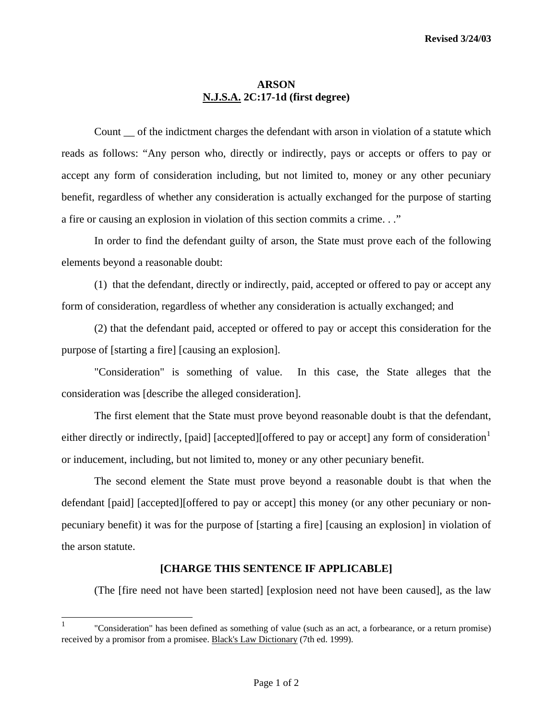## **ARSON N.J.S.A. 2C:17-1d (first degree)**

Count of the indictment charges the defendant with arson in violation of a statute which reads as follows: "Any person who, directly or indirectly, pays or accepts or offers to pay or accept any form of consideration including, but not limited to, money or any other pecuniary benefit, regardless of whether any consideration is actually exchanged for the purpose of starting a fire or causing an explosion in violation of this section commits a crime. . ."

 In order to find the defendant guilty of arson, the State must prove each of the following elements beyond a reasonable doubt:

 (1) that the defendant, directly or indirectly, paid, accepted or offered to pay or accept any form of consideration, regardless of whether any consideration is actually exchanged; and

 (2) that the defendant paid, accepted or offered to pay or accept this consideration for the purpose of [starting a fire] [causing an explosion].

 "Consideration" is something of value. In this case, the State alleges that the consideration was [describe the alleged consideration].

 The first element that the State must prove beyond reasonable doubt is that the defendant, either directly or indirectly, [paid] [accepted][offered to pay or accept] any form of consideration<sup>[1](#page-0-0)</sup> or inducement, including, but not limited to, money or any other pecuniary benefit.

 The second element the State must prove beyond a reasonable doubt is that when the defendant [paid] [accepted][offered to pay or accept] this money (or any other pecuniary or nonpecuniary benefit) it was for the purpose of [starting a fire] [causing an explosion] in violation of the arson statute.

## **[CHARGE THIS SENTENCE IF APPLICABLE]**

(The [fire need not have been started] [explosion need not have been caused], as the law

<span id="page-0-1"></span><span id="page-0-0"></span> $\mathbf{1}$ 1 "Consideration" has been defined as something of value (such as an act, a forbearance, or a return promise) received by a promisor from a promisee. Black's Law Dictionary (7th ed. 1999).